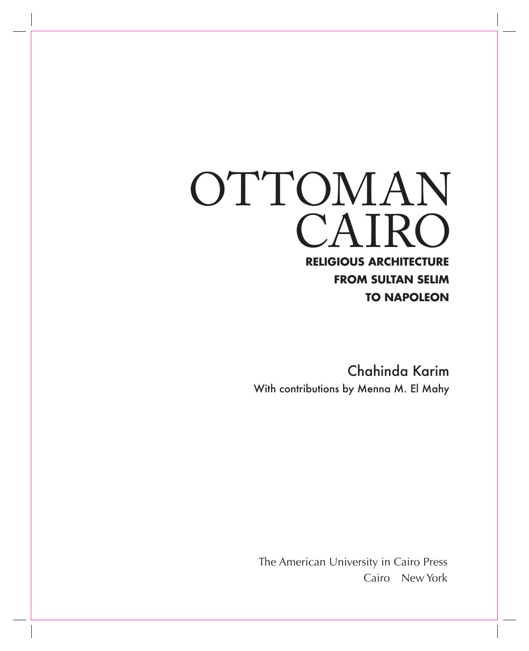## CAIRO OTTOMAN **Religious Architecture from Sultan Selim to Napoleon**

Chahinda Karim With contributions by Menna M. El Mahy

The American University in Cairo Press Cairo New York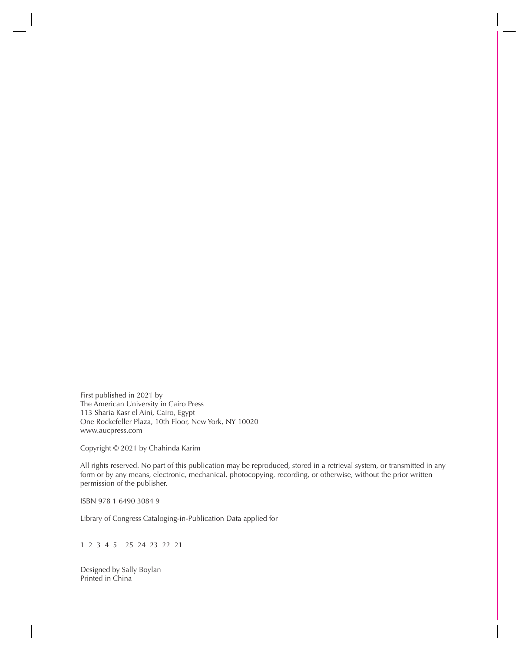First published in 2021 by The American University in Cairo Press 113 Sharia Kasr el Aini, Cairo, Egypt One Rockefeller Plaza, 10th Floor, New York, NY 10020 www.aucpress.com

Copyright © 2021 by Chahinda Karim

All rights reserved. No part of this publication may be reproduced, stored in a retrieval system, or transmitted in any form or by any means, electronic, mechanical, photocopying, recording, or otherwise, without the prior written permission of the publisher.

ISBN 978 1 6490 3084 9

Library of Congress Cataloging-in-Publication Data applied for

1 2 3 4 5 25 24 23 22 21

Designed by Sally Boylan Printed in China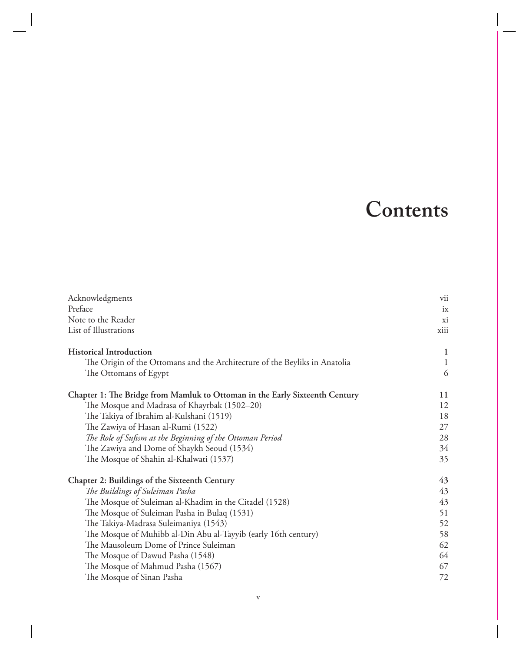## **Contents**

| Acknowledgments                                                             | vii          |
|-----------------------------------------------------------------------------|--------------|
| Preface                                                                     | ix           |
| Note to the Reader                                                          | xi           |
| List of Illustrations                                                       | xiii         |
| <b>Historical Introduction</b>                                              | 1            |
| The Origin of the Ottomans and the Architecture of the Beyliks in Anatolia  | $\mathbf{1}$ |
| The Ottomans of Egypt                                                       | 6            |
| Chapter 1: The Bridge from Mamluk to Ottoman in the Early Sixteenth Century | 11           |
| The Mosque and Madrasa of Khayrbak (1502-20)                                | 12           |
| The Takiya of Ibrahim al-Kulshani (1519)                                    | 18           |
| The Zawiya of Hasan al-Rumi (1522)                                          | 27           |
| The Role of Sufism at the Beginning of the Ottoman Period                   | 28           |
| The Zawiya and Dome of Shaykh Seoud (1534)                                  | 34           |
| The Mosque of Shahin al-Khalwati (1537)                                     | 35           |
| Chapter 2: Buildings of the Sixteenth Century                               | 43           |
| The Buildings of Suleiman Pasha                                             | 43           |
| The Mosque of Suleiman al-Khadim in the Citadel (1528)                      | 43           |
| The Mosque of Suleiman Pasha in Bulaq (1531)                                | 51           |
| The Takiya-Madrasa Suleimaniya (1543)                                       | 52           |
| The Mosque of Muhibb al-Din Abu al-Tayyib (early 16th century)              | 58           |
| The Mausoleum Dome of Prince Suleiman                                       | 62           |
| The Mosque of Dawud Pasha (1548)                                            | 64           |
| The Mosque of Mahmud Pasha (1567)                                           | 67           |
| The Mosque of Sinan Pasha                                                   | 72           |